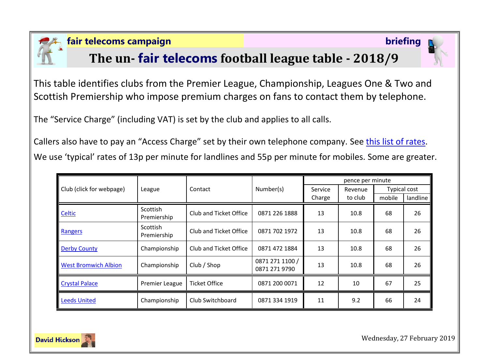

#### **fair telecoms campaign briefing**

# **The un- fair telecoms football league table - 2018/9**

This table identifies clubs from the Premier League, Championship, Leagues One & Two and Scottish Premiership who impose premium charges on fans to contact them by telephone.

The "Service Charge" (including VAT) is set by the club and applies to all calls.

Callers also have to pay an "Access Charge" set by their own telephone company. See [this list of rates.](http://www.saynoto0870.com/costofcalling.php) We use 'typical' rates of 13p per minute for landlines and 55p per minute for mobiles. Some are greater.

| Club (click for webpage)    | League                         | Contact                | Number(s)                        | pence per minute |         |                     |          |
|-----------------------------|--------------------------------|------------------------|----------------------------------|------------------|---------|---------------------|----------|
|                             |                                |                        |                                  | Service          | Revenue | <b>Typical cost</b> |          |
|                             |                                |                        |                                  | Charge           | to club | mobile              | landline |
| Celtic                      | <b>Scottish</b><br>Premiership | Club and Ticket Office | 0871 226 1888                    | 13               | 10.8    | 68                  | 26       |
| Rangers                     | <b>Scottish</b><br>Premiership | Club and Ticket Office | 0871 702 1972                    | 13               | 10.8    | 68                  | 26       |
| <b>Derby County</b>         | Championship                   | Club and Ticket Office | 0871 472 1884                    | 13               | 10.8    | 68                  | 26       |
| <b>West Bromwich Albion</b> | Championship                   | Club / Shop            | 0871 271 1100 /<br>0871 271 9790 | 13               | 10.8    | 68                  | 26       |
| <b>Crystal Palace</b>       | <b>Premier League</b>          | <b>Ticket Office</b>   | 0871 200 0071                    | 12               | 10      | 67                  | 25       |
| <b>Leeds United</b>         | Championship                   | Club Switchboard       | 0871 334 1919                    | 11               | 9.2     | 66                  | 24       |



Wednesday, 27 February 2019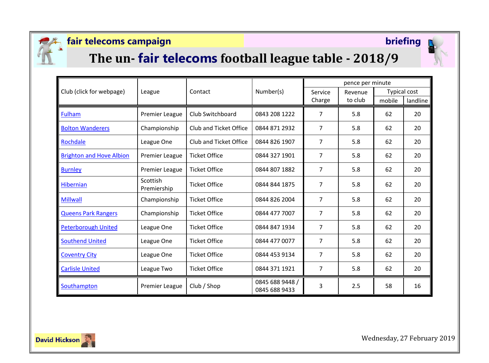

### **fair telecoms campaign briefing**



# **The un- fair telecoms football league table - 2018/9**

| Club (click for webpage)        | League                  | Contact                | Number(s)                        | pence per minute  |                    |                     |          |
|---------------------------------|-------------------------|------------------------|----------------------------------|-------------------|--------------------|---------------------|----------|
|                                 |                         |                        |                                  | Service<br>Charge | Revenue<br>to club | <b>Typical cost</b> |          |
|                                 |                         |                        |                                  |                   |                    | mobile              | landline |
| <b>Fulham</b>                   | <b>Premier League</b>   | Club Switchboard       | 0843 208 1222                    | $\overline{7}$    | 5.8                | 62                  | 20       |
| <b>Bolton Wanderers</b>         | Championship            | Club and Ticket Office | 0844 871 2932                    | $\overline{7}$    | 5.8                | 62                  | 20       |
| Rochdale                        | League One              | Club and Ticket Office | 0844 826 1907                    | $\overline{7}$    | 5.8                | 62                  | 20       |
| <b>Brighton and Hove Albion</b> | Premier League          | <b>Ticket Office</b>   | 0844 327 1901                    | $\overline{7}$    | 5.8                | 62                  | 20       |
| <b>Burnley</b>                  | Premier League          | <b>Ticket Office</b>   | 0844 807 1882                    | $\overline{7}$    | 5.8                | 62                  | 20       |
| Hibernian                       | Scottish<br>Premiership | <b>Ticket Office</b>   | 0844 844 1875                    | $\overline{7}$    | 5.8                | 62                  | 20       |
| <b>Millwall</b>                 | Championship            | <b>Ticket Office</b>   | 0844 826 2004                    | $\overline{7}$    | 5.8                | 62                  | 20       |
| <b>Queens Park Rangers</b>      | Championship            | <b>Ticket Office</b>   | 0844 477 7007                    | $\overline{7}$    | 5.8                | 62                  | 20       |
| <b>Peterborough United</b>      | League One              | <b>Ticket Office</b>   | 0844 847 1934                    | $\overline{7}$    | 5.8                | 62                  | 20       |
| <b>Southend United</b>          | League One              | <b>Ticket Office</b>   | 0844 477 0077                    | $\overline{7}$    | 5.8                | 62                  | 20       |
| <b>Coventry City</b>            | League One              | <b>Ticket Office</b>   | 0844 453 9134                    | $\overline{7}$    | 5.8                | 62                  | 20       |
| <b>Carlisle United</b>          | League Two              | <b>Ticket Office</b>   | 0844 371 1921                    | $\overline{7}$    | 5.8                | 62                  | 20       |
| Southampton                     | Premier League          | Club / Shop            | 0845 688 9448 /<br>0845 688 9433 | 3                 | 2.5                | 58                  | 16       |



Wednesday, 27 February 2019